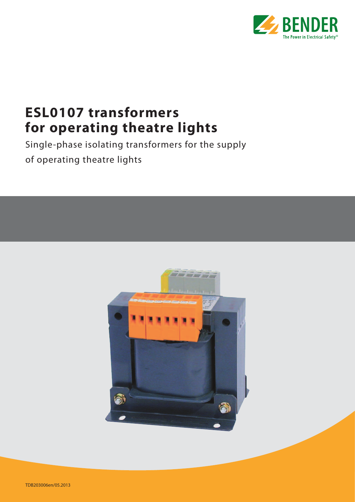

# **ESL0107 transformers for operating theatre lights**

Single-phase isolating transformers for the supply of operating theatre lights



TDB203006en/05.2013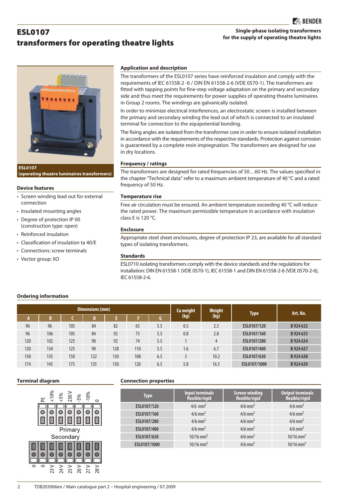# transformers for operating theatre lights **Single-phase isolating transformers for the supply of operating theatre lights**

**ESL0107 (operating theatre luminaires transformers)**

### **Device features**

ESL0107

- Screen winding lead out for external connection
- Insulated mounting angles
- Degree of protection IP 00 (construction type: open)
- Reinforced insulation
- Classification of insulation ta 40/E
- Connections: screw terminals
- Vector group: IiO

### **Application and description**

The transformers of the ESL0107 series have reinforced insulation and comply with the requirements of IEC 61558-2 -6 / DIN EN 61558-2-6 (VDE 0570-1). The transformers are fitted with tapping points for fine-step voltage adaptation on the primary and secondary side and thus meet the requirements for power supplies of operating theatre luminaires in Group 2 rooms. The windings are galvanically isolated.

In order to minimize electrical interferences, an electrostatic screen is installed between the primary and secondary winding the lead out of which is connected to an insulated terminal for connection to the equipotential bonding.

The fixing angles are isolated from the transformer core in order to ensure isolated installation in accordance with the requirements of the respective standards. Protection against corrosion is guaranteed by a complete resin impregnation. The transformers are designed for use in dry locations.

### **Frequency / ratings**

The transformers are designed for rated frequencies of 50…60 Hz. The values specified in the chapter "Technical data" refer to a maximum ambient temperature of 40 °C and a rated frequency of 50 Hz.

# **Temperature rise**

Free air circulation must be ensured. An ambient temperature exceeding 40 °C will reduce the rated power. The maximum permissible temperature in accordance with insulation class E is 120 °C.

# **Enclosure**

Appropriate steel sheet enclosures, degree of protection IP 23, are available for all standard types of isolating transformers.

# **Standards**

ESL0710 isolating transformers comply with the device standards and the regulations for installation: DIN EN 61558-1 (VDE 0570-1), IEC 61558-1 and DIN EN 61558-2-6 (VDE 0570-2-6), IEC 61558-2-6.

# **Ordering information**

|     |     |     | Dimensions (mm) |     |     | <b>Cu weight</b> | Weight | Type | Art. No.     |           |
|-----|-----|-----|-----------------|-----|-----|------------------|--------|------|--------------|-----------|
|     | D   |     |                 |     |     | G.               | (kg)   | (kg) |              |           |
| 96  | 96  | 105 | 84              | 82  | 65  | 5.5              | 0.5    | 2.3  | ESL0107/120  | B 924 632 |
| 96  | 106 | 105 | 84              | 92  | 75  | 5.5              | 0.8    | 2.8  | ESL0107/160  | B 924 633 |
| 120 | 102 | 125 | 90              | 92  | 74  | 5.5              |        |      | ESL0107/280  | B 924 634 |
| 120 | 134 | 125 | 90              | 128 | 110 | 5.5              | 1.6    | 6.7  | ESL0107/400  | B 924 637 |
| 150 | 135 | 150 | 122             | 130 | 108 | 6.5              |        | 10.2 | ESL0107/630  | B 924 638 |
| 174 | 145 | 175 | 135             | 150 | 120 | 6.5              | 5.8    | 16.5 | ESL0107/1000 | B 924 639 |



### **Terminal diagram Connection properties**

| <b>Type</b>  | <b>Input terminals</b><br>flexible/rigid | Screen winding<br>flexible/rigid | <b>Output terminals</b><br>flexible/rigid |  |  |
|--------------|------------------------------------------|----------------------------------|-------------------------------------------|--|--|
| ESL0107/120  | $4/6$ mm <sup>2</sup>                    | $4/6$ mm <sup>2</sup>            | $4/6$ mm <sup>2</sup>                     |  |  |
| ESL0107/160  | $4/6$ mm <sup>2</sup>                    | $4/6$ mm <sup>2</sup>            | $4/6$ mm <sup>2</sup>                     |  |  |
| ESL0107/280  | $4/6$ mm <sup>2</sup>                    | $4/6$ mm <sup>2</sup>            | $4/6$ mm <sup>2</sup>                     |  |  |
| ESL0107/400  | $4/6$ mm <sup>2</sup>                    | $4/6$ mm <sup>2</sup>            | $4/6$ mm <sup>2</sup>                     |  |  |
| ESL0107/630  | $10/16$ mm <sup>2</sup>                  | $4/6$ mm <sup>2</sup>            | $10/16$ mm <sup>2</sup>                   |  |  |
| ESL0107/1000 | $10/16$ mm <sup>2</sup>                  | $4/6$ mm <sup>2</sup>            | $10/16$ mm <sup>2</sup>                   |  |  |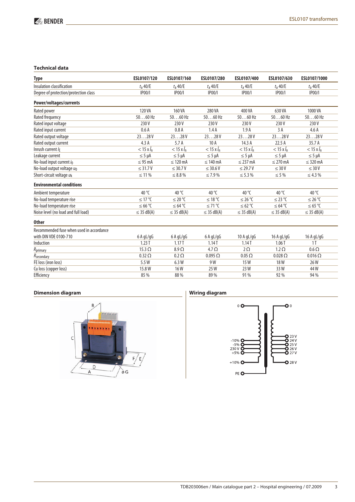# **Technical data**

| <b>Type</b>                              | ESL0107/120          | ESL0107/160          | ESL0107/280          | ESL0107/400          | ESL0107/630          | ESL0107/1000         |
|------------------------------------------|----------------------|----------------------|----------------------|----------------------|----------------------|----------------------|
| Insulation classification                | $t_a$ 40/E           | $t_a$ 40/E           | $t_a$ 40/E           | $t_a$ 40/E           | $t_a$ 40/E           | $t_a$ 40/E           |
| Degree of protection/protection class    | IP00/                | <b>IP00/I</b>        | IP00/                | IP00/                | <b>IP00/I</b>        | IP00/                |
| Power/voltages/currents                  |                      |                      |                      |                      |                      |                      |
| Rated power                              | 120 VA               | 160 VA               | 280 VA               | 400 VA               | 630 VA               | 1000 VA              |
| Rated frequency                          | $5060$ Hz            | $5060$ Hz            | $5060$ Hz            | $5060$ Hz            | $5060$ Hz            | $5060$ Hz            |
| Rated input voltage                      | 230V                 | 230V                 | 230V                 | 230V                 | 230 V                | 230V                 |
| Rated input current                      | 0.6A                 | 0.8A                 | 1.4A                 | 1.9A                 | 3A                   | 4.6A                 |
| Rated output voltage                     | 2328V                | 2328V                | 2328V                | 2328V                | 2328V                | 2328V                |
| Rated output current                     | 4.3A                 | 5.7A                 | 10A                  | 14.3 A               | 22.5A                | 35.7 A               |
| Inrush current /F                        | $<$ 15 x $\hat{l}_n$ | $<$ 15 x $\hat{l}_n$ | $<$ 15 x $\hat{l}_n$ | $<$ 15 x $\hat{I}_n$ | $<$ 15 x $\hat{l}_n$ | $<$ 15 x $\hat{l}_n$ |
| Leakage current                          | $\leq$ 5 µA          | $\leq$ 5 µA          | $\leq$ 5 µA          | $\leq$ 5 µA          | $\leq$ 5 µA          | $\leq$ 5 µA          |
| No-load input current io                 | $\leq$ 95 mA         | $\leq$ 120 mA        | $\leq 140$ mA        | $\leq$ 237 mA        | $\leq$ 270 mA        | $\leq$ 320 mA        |
| No-load output voltage uo                | $\leq$ 31.7 V        | $\leq$ 30.7 V        | $\leq$ 30.6 V        | $\leq$ 29.7 V        | $\leq 30$ V          | $\leq 30 V$          |
| Short-circuit voltage uk                 | $\leq 11\%$          | $\leq 8.8\%$         | $\leq 7.9\%$         | $\leq 5.3\%$         | $\leq$ 5 %           | $\leq 4.3 \%$        |
| <b>Environmental conditions</b>          |                      |                      |                      |                      |                      |                      |
| Ambient temperature                      | 40 °C                | 40 °C                | 40 $\degree$ C       | 40 $\degree$ C       | 40 $\degree$ C       | 40 $\degree$ C       |
| No-load temperature rise                 | ≤ 17 °C              | ≤ 20 °C              | ≤ 18 °C              | ≤ 26 °C              | ≤ 23 °C              | ≤ 26 °C              |
| No-load temperature rise                 | ≤ 66 °C              | ≤ 64 °C              | $≤71$ °C             | ≤ 62 °C              | ≤ 64 °C              | ≤ 65 °C              |
| Noise level (no load and full load)      | $\leq$ 35 dB(A)      | $\leq$ 35 dB(A)      | $\leq$ 35 dB(A)      | $\leq$ 35 dB(A)      | $\leq$ 35 dB(A)      | $\leq$ 35 dB(A)      |
| <b>Other</b>                             |                      |                      |                      |                      |                      |                      |
| Recommended fuse when used in accordance |                      |                      |                      |                      |                      |                      |
| with DIN VDE 0100-710                    | 6AqL/qG              | 6AqL/qG              | 6AqL/qG              | 10 A $qL/qG$         | 16 A $qL/qG$         | 16 A gL/gG           |
| Induction                                | 1.23T                | 1.17T                | 1.14T                | 1.14T                | 1.06T                | 1 <sub>T</sub>       |
| Rprimary                                 | $15.3 \Omega$        | $8.9 \Omega$         | $4.7\Omega$          | $2\Omega$            | $1.2 \Omega$         | $0.6 \Omega$         |
| Rsecondary                               | $0.32 \Omega$        | $0.2 \Omega$         | $0.095 \Omega$       | $0.05\ \Omega$       | $0.028 \Omega$       | $0.016 \Omega$       |
| FE loss (iron loss)                      | 5.5 W                | 6.3W                 | 9 W                  | 15W                  | 18 W                 | 26W                  |
| Cu loss (copper loss)                    | 15.8W                | <b>16W</b>           | 25 W                 | 23 W                 | 33W                  | 44 W                 |
| Efficiency                               | 85 %                 | 88 %                 | 89 %                 | 91%                  | 92 %                 | 94 %                 |
|                                          |                      |                      |                      |                      |                      |                      |

# **Dimension diagram**



# **Wiring diagram**